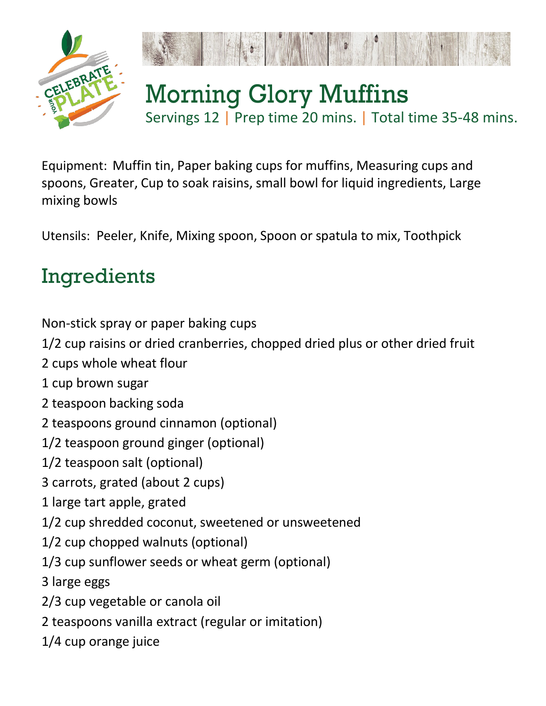



## Morning Glory Muffins Servings 12 | Prep time 20 mins. | Total time 35-48 mins.

Equipment: Muffin tin, Paper baking cups for muffins, Measuring cups and spoons, Greater, Cup to soak raisins, small bowl for liquid ingredients, Large mixing bowls

Utensils: Peeler, Knife, Mixing spoon, Spoon or spatula to mix, Toothpick

## Ingredients

Non-stick spray or paper baking cups

1/2 cup raisins or dried cranberries, chopped dried plus or other dried fruit

- 2 cups whole wheat flour
- 1 cup brown sugar
- 2 teaspoon backing soda
- 2 teaspoons ground cinnamon (optional)
- 1/2 teaspoon ground ginger (optional)
- 1/2 teaspoon salt (optional)
- 3 carrots, grated (about 2 cups)
- 1 large tart apple, grated
- 1/2 cup shredded coconut, sweetened or unsweetened
- 1/2 cup chopped walnuts (optional)
- 1/3 cup sunflower seeds or wheat germ (optional)
- 3 large eggs
- 2/3 cup vegetable or canola oil
- 2 teaspoons vanilla extract (regular or imitation)
- 1/4 cup orange juice